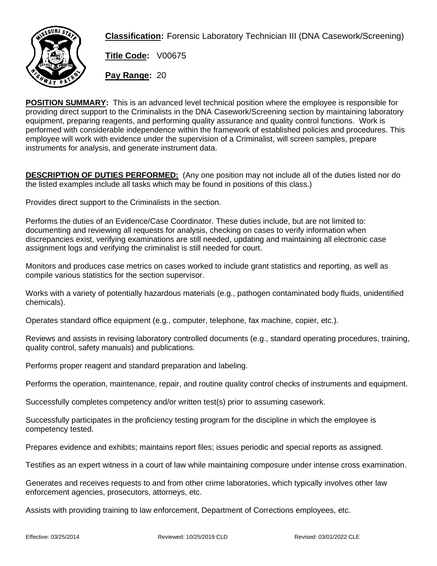

**Classification:** Forensic Laboratory Technician III (DNA Casework/Screening)

**Title Code:** V00675

**Pay Range:** 20

**POSITION SUMMARY:** This is an advanced level technical position where the employee is responsible for providing direct support to the Criminalists in the DNA Casework/Screening section by maintaining laboratory equipment, preparing reagents, and performing quality assurance and quality control functions. Work is performed with considerable independence within the framework of established policies and procedures. This employee will work with evidence under the supervision of a Criminalist, will screen samples, prepare instruments for analysis, and generate instrument data.

**DESCRIPTION OF DUTIES PERFORMED:** (Any one position may not include all of the duties listed nor do the listed examples include all tasks which may be found in positions of this class.)

Provides direct support to the Criminalists in the section.

Performs the duties of an Evidence/Case Coordinator. These duties include, but are not limited to: documenting and reviewing all requests for analysis, checking on cases to verify information when discrepancies exist, verifying examinations are still needed, updating and maintaining all electronic case assignment logs and verifying the criminalist is still needed for court.

Monitors and produces case metrics on cases worked to include grant statistics and reporting, as well as compile various statistics for the section supervisor.

Works with a variety of potentially hazardous materials (e.g., pathogen contaminated body fluids, unidentified chemicals).

Operates standard office equipment (e.g., computer, telephone, fax machine, copier, etc.).

Reviews and assists in revising laboratory controlled documents (e.g., standard operating procedures, training, quality control, safety manuals) and publications.

Performs proper reagent and standard preparation and labeling.

Performs the operation, maintenance, repair, and routine quality control checks of instruments and equipment.

Successfully completes competency and/or written test(s) prior to assuming casework.

Successfully participates in the proficiency testing program for the discipline in which the employee is competency tested.

Prepares evidence and exhibits; maintains report files; issues periodic and special reports as assigned.

Testifies as an expert witness in a court of law while maintaining composure under intense cross examination.

Generates and receives requests to and from other crime laboratories, which typically involves other law enforcement agencies, prosecutors, attorneys, etc.

Assists with providing training to law enforcement, Department of Corrections employees, etc.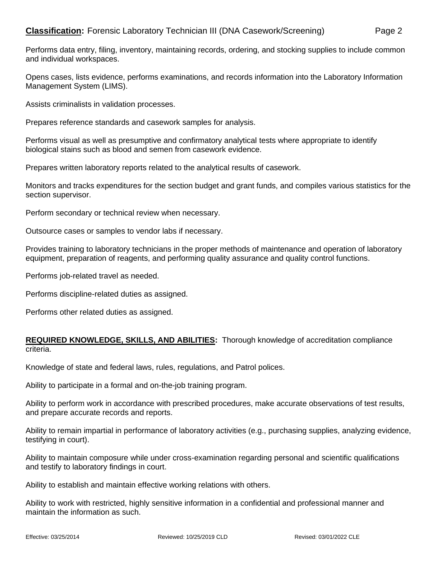Performs data entry, filing, inventory, maintaining records, ordering, and stocking supplies to include common and individual workspaces.

Opens cases, lists evidence, performs examinations, and records information into the Laboratory Information Management System (LIMS).

Assists criminalists in validation processes.

Prepares reference standards and casework samples for analysis.

Performs visual as well as presumptive and confirmatory analytical tests where appropriate to identify biological stains such as blood and semen from casework evidence.

Prepares written laboratory reports related to the analytical results of casework.

Monitors and tracks expenditures for the section budget and grant funds, and compiles various statistics for the section supervisor.

Perform secondary or technical review when necessary.

Outsource cases or samples to vendor labs if necessary.

Provides training to laboratory technicians in the proper methods of maintenance and operation of laboratory equipment, preparation of reagents, and performing quality assurance and quality control functions.

Performs job-related travel as needed.

Performs discipline-related duties as assigned.

Performs other related duties as assigned.

## **REQUIRED KNOWLEDGE, SKILLS, AND ABILITIES:** Thorough knowledge of accreditation compliance criteria.

Knowledge of state and federal laws, rules, regulations, and Patrol polices.

Ability to participate in a formal and on-the-job training program.

Ability to perform work in accordance with prescribed procedures, make accurate observations of test results, and prepare accurate records and reports.

Ability to remain impartial in performance of laboratory activities (e.g., purchasing supplies, analyzing evidence, testifying in court).

Ability to maintain composure while under cross-examination regarding personal and scientific qualifications and testify to laboratory findings in court.

Ability to establish and maintain effective working relations with others.

Ability to work with restricted, highly sensitive information in a confidential and professional manner and maintain the information as such.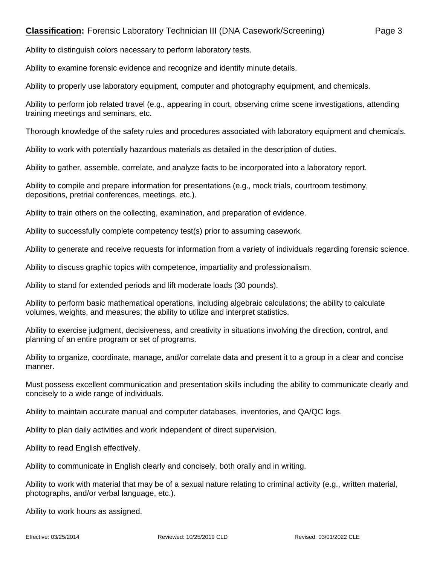Ability to distinguish colors necessary to perform laboratory tests.

Ability to examine forensic evidence and recognize and identify minute details.

Ability to properly use laboratory equipment, computer and photography equipment, and chemicals.

Ability to perform job related travel (e.g., appearing in court, observing crime scene investigations, attending training meetings and seminars, etc.

Thorough knowledge of the safety rules and procedures associated with laboratory equipment and chemicals.

Ability to work with potentially hazardous materials as detailed in the description of duties.

Ability to gather, assemble, correlate, and analyze facts to be incorporated into a laboratory report.

Ability to compile and prepare information for presentations (e.g., mock trials, courtroom testimony, depositions, pretrial conferences, meetings, etc.).

Ability to train others on the collecting, examination, and preparation of evidence.

Ability to successfully complete competency test(s) prior to assuming casework.

Ability to generate and receive requests for information from a variety of individuals regarding forensic science.

Ability to discuss graphic topics with competence, impartiality and professionalism.

Ability to stand for extended periods and lift moderate loads (30 pounds).

Ability to perform basic mathematical operations, including algebraic calculations; the ability to calculate volumes, weights, and measures; the ability to utilize and interpret statistics.

Ability to exercise judgment, decisiveness, and creativity in situations involving the direction, control, and planning of an entire program or set of programs.

Ability to organize, coordinate, manage, and/or correlate data and present it to a group in a clear and concise manner.

Must possess excellent communication and presentation skills including the ability to communicate clearly and concisely to a wide range of individuals.

Ability to maintain accurate manual and computer databases, inventories, and QA/QC logs.

Ability to plan daily activities and work independent of direct supervision.

Ability to read English effectively.

Ability to communicate in English clearly and concisely, both orally and in writing.

Ability to work with material that may be of a sexual nature relating to criminal activity (e.g., written material, photographs, and/or verbal language, etc.).

Ability to work hours as assigned.